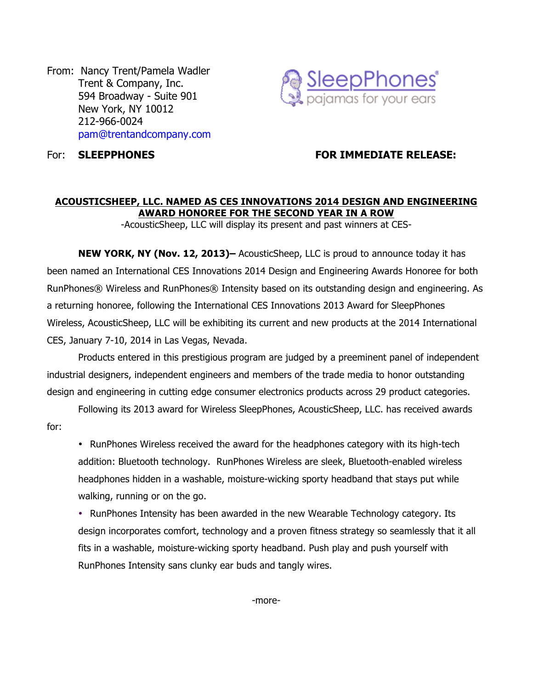From: Nancy Trent/Pamela Wadler Trent & Company, Inc. 594 Broadway - Suite 901 New York, NY 10012 212-966-0024 pam@trentandcompany.com



## For: **SLEEPPHONES FOR IMMEDIATE RELEASE:**

### **ACOUSTICSHEEP, LLC. NAMED AS CES INNOVATIONS 2014 DESIGN AND ENGINEERING AWARD HONOREE FOR THE SECOND YEAR IN A ROW**

-AcousticSheep, LLC will display its present and past winners at CES-

**NEW YORK, NY (Nov. 12, 2013)–** AcousticSheep, LLC is proud to announce today it has been named an International CES Innovations 2014 Design and Engineering Awards Honoree for both RunPhones® Wireless and RunPhones® Intensity based on its outstanding design and engineering. As a returning honoree, following the International CES Innovations 2013 Award for SleepPhones Wireless, AcousticSheep, LLC will be exhibiting its current and new products at the 2014 International CES, January 7-10, 2014 in Las Vegas, Nevada.

Products entered in this prestigious program are judged by a preeminent panel of independent industrial designers, independent engineers and members of the trade media to honor outstanding design and engineering in cutting edge consumer electronics products across 29 product categories.

Following its 2013 award for Wireless SleepPhones, AcousticSheep, LLC. has received awards for:

• RunPhones Wireless received the award for the headphones category with its high-tech addition: Bluetooth technology. RunPhones Wireless are sleek, Bluetooth-enabled wireless headphones hidden in a washable, moisture-wicking sporty headband that stays put while walking, running or on the go.

• RunPhones Intensity has been awarded in the new Wearable Technology category. Its design incorporates comfort, technology and a proven fitness strategy so seamlessly that it all fits in a washable, moisture-wicking sporty headband. Push play and push yourself with RunPhones Intensity sans clunky ear buds and tangly wires.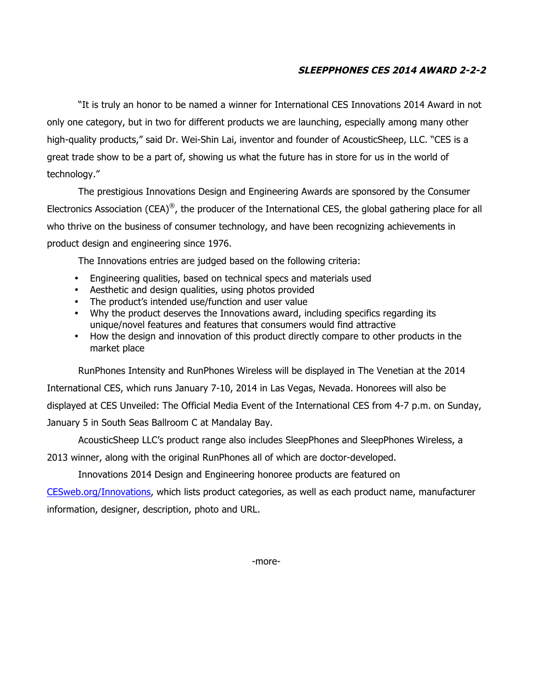# **SLEEPPHONES CES 2014 AWARD 2-2-2**

"It is truly an honor to be named a winner for International CES Innovations 2014 Award in not only one category, but in two for different products we are launching, especially among many other high-quality products," said Dr. Wei-Shin Lai, inventor and founder of AcousticSheep, LLC. "CES is a great trade show to be a part of, showing us what the future has in store for us in the world of technology."

The prestigious Innovations Design and Engineering Awards are sponsored by the Consumer Electronics Association (CEA)<sup>®</sup>, the producer of the International CES, the global gathering place for all who thrive on the business of consumer technology, and have been recognizing achievements in product design and engineering since 1976.

The Innovations entries are judged based on the following criteria:

- Engineering qualities, based on technical specs and materials used
- Aesthetic and design qualities, using photos provided
- The product's intended use/function and user value
- Why the product deserves the Innovations award, including specifics regarding its unique/novel features and features that consumers would find attractive
- How the design and innovation of this product directly compare to other products in the market place

RunPhones Intensity and RunPhones Wireless will be displayed in The Venetian at the 2014 International CES, which runs January 7-10, 2014 in Las Vegas, Nevada. Honorees will also be displayed at CES Unveiled: The Official Media Event of the International CES from 4-7 p.m. on Sunday, January 5 in South Seas Ballroom C at Mandalay Bay.

AcousticSheep LLC's product range also includes SleepPhones and SleepPhones Wireless, a 2013 winner, along with the original RunPhones all of which are doctor-developed.

Innovations 2014 Design and Engineering honoree products are featured on

CESweb.org/Innovations, which lists product categories, as well as each product name, manufacturer information, designer, description, photo and URL.

-more-